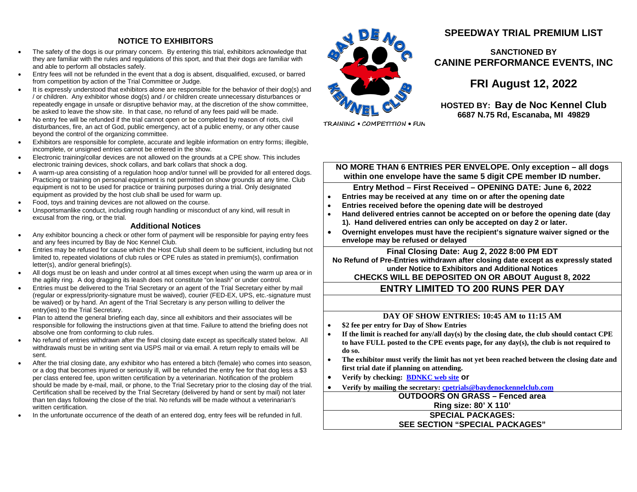## **NOTICE TO EXHIBITORS**

- The safety of the dogs is our primary concern. By entering this trial, exhibitors acknowledge that they are familiar with the rules and regulations of this sport, and that their dogs are familiar with and able to perform all obstacles safely.
- Entry fees will not be refunded in the event that a dog is absent, disqualified, excused, or barred from competition by action of the Trial Committee or Judge.
- It is expressly understood that exhibitors alone are responsible for the behavior of their dog(s) and / or children. Any exhibitor whose dog(s) and / or children create unnecessary disturbances or repeatedly engage in unsafe or disruptive behavior may, at the discretion of the show committee, be asked to leave the show site. In that case, no refund of any fees paid will be made.
- No entry fee will be refunded if the trial cannot open or be completed by reason of riots, civil disturbances, fire, an act of God, public emergency, act of a public enemy, or any other cause beyond the control of the organizing committee.
- Exhibitors are responsible for complete, accurate and legible information on entry forms; illegible, incomplete, or unsigned entries cannot be entered in the show.
- Electronic training/collar devices are not allowed on the grounds at a CPE show. This includes electronic training devices, shock collars, and bark collars that shock a dog.
- A warm-up area consisting of a regulation hoop and/or tunnel will be provided for all entered dogs. Practicing or training on personal equipment is not permitted on show grounds at any time. Club equipment is not to be used for practice or training purposes during a trial. Only designated equipment as provided by the host club shall be used for warm up.
- Food, toys and training devices are not allowed on the course.
- Unsportsmanlike conduct, including rough handling or misconduct of any kind, will result in excusal from the ring, or the trial.

#### **Additional Notices**

- Any exhibitor bouncing a check or other form of payment will be responsible for paying entry fees and any fees incurred by Bay de Noc Kennel Club.
- Entries may be refused for cause which the Host Club shall deem to be sufficient, including but not limited to, repeated violations of club rules or CPE rules as stated in premium(s), confirmation letter(s), and/or general briefing(s).
- All dogs must be on leash and under control at all times except when using the warm up area or in the agility ring. A dog dragging its leash does not constitute "on leash" or under control.
- Entries must be delivered to the Trial Secretary or an agent of the Trial Secretary either by mail (regular or express/priority-signature must be waived), courier (FED-EX, UPS, etc.-signature must be waived) or by hand. An agent of the Trial Secretary is any person willing to deliver the entry(ies) to the Trial Secretary.
- Plan to attend the general briefing each day, since all exhibitors and their associates will be responsible for following the instructions given at that time. Failure to attend the briefing does not absolve one from conforming to club rules.
- No refund of entries withdrawn after the final closing date except as specifically stated below.All withdrawals must be in writing sent via USPS mail or via email. A return reply to emails will be sent.
- After the trial closing date, any exhibitor who has entered a bitch (female) who comes into season, or a dog that becomes injured or seriously ill, will be refunded the entry fee for that dog less a \$3 per class entered fee, upon written certification by a veterinarian. Notification of the problem should be made by e-mail, mail, or phone, to the Trial Secretary prior to the closing day of the trial. Certification shall be received by the Trial Secretary (delivered by hand or sent by mail) not later than ten days following the close of the trial. No refunds will be made without a veterinarian's written certification.
- In the unfortunate occurrence of the death of an entered dog, entry fees will be refunded in full.



**SPEEDWAY TRIAL PREMIUM LIST**

## **SANCTIONED BY CANINE PERFORMANCE EVENTS, INC**

**FRI August 12, 2022** 

**HOSTED BY: Bay de Noc Kennel Club 6687 N.75 Rd, Escanaba, MI 49829**

TRAINING . COMPETITION . FUN

**NO MORE THAN 6 ENTRIES PER ENVELOPE. Only exception – all dogs within one envelope have the same 5 digit CPE member ID number.**

**Entry Method – First Received – OPENING DATE: June 6, 2022**

- **Entries may be received at any time on or after the opening date**
- **Entries received before the opening date will be destroyed**
- **Hand delivered entries cannot be accepted on or before the opening date (day 1). Hand delivered entries can only be accepted on day 2 or later.**
- **Overnight envelopes must have the recipient's signature waiver signed or the envelope may be refused or delayed**

**Final Closing Date: Aug 2, 2022 8:00 PM EDT** 

**No Refund of Pre-Entries withdrawn after closing date except as expressly stated under Notice to Exhibitors and Additional Notices**

**CHECKS WILL BE DEPOSITED ON OR ABOUT August 8, 2022** 

## **ENTRY LIMITED TO 200 RUNS PER DAY**

#### **DAY OF SHOW ENTRIES: 10:45 AM to 11:15 AM**

- **\$2 fee per entry for Day of Show Entries**
- **If the limit is reached for any/all day(s) by the closing date, the club should contact CPE to have FULL posted to the CPE events page, for any day(s), the club is not required to do so.**
- **The exhibitor must verify the limit has not yet been reached between the closing date and first trial date if planning on attending.**
- **Verify by checking: [BDNKC web site](http://baydenockennelclub.com/) or**
- **Verify by mailing the secretary: [cpetrials@baydenockennelclub.com](mailto:cpetrials@baydenockennelclub.com)**

**OUTDOORS ON GRASS – Fenced area Ring size: 80' X 110' SPECIAL PACKAGES:**

**SEE SECTION "SPECIAL PACKAGES"**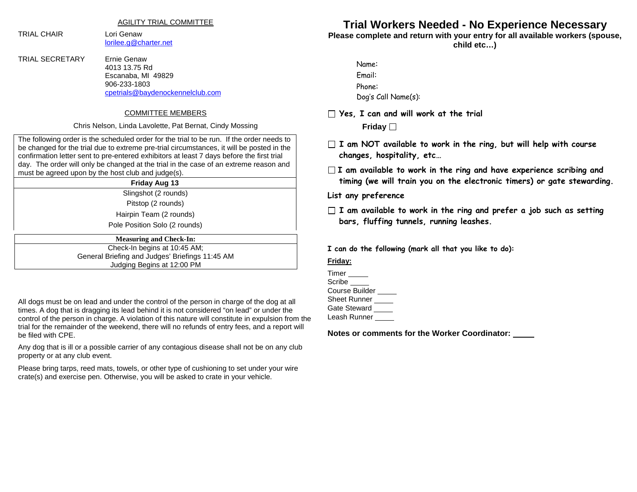AGILITY TRIAL COMMITTEE

TRIAL CHAIR Lori Genaw

[lorilee.g@charter.net](mailto:ernie.g@charter.net)

TRIAL SECRETARY Ernie Genaw 4013 13.75 Rd Escanaba, MI 49829 906-233-1803 [cpetrials@baydenockennelclub.com](mailto:cpetrials@baydenockennelclub.com)

#### COMMITTEE MEMBERS

#### Chris Nelson, Linda Lavolette, Pat Bernat, Cindy Mossing

The following order is the scheduled order for the trial to be run. If the order needs to be changed for the trial due to extreme pre-trial circumstances, it will be posted in the confirmation letter sent to pre-entered exhibitors at least 7 days before the first trial day. The order will only be changed at the trial in the case of an extreme reason and must be agreed upon by the host club and judge(s).

#### **Friday Aug 13**

Slingshot (2 rounds)

Pitstop (2 rounds)

Hairpin Team (2 rounds)

Pole Position Solo (2 rounds)

| <b>Measuring and Check-In:</b>                  |  |
|-------------------------------------------------|--|
| Check-In begins at 10:45 AM;                    |  |
| General Briefing and Judges' Briefings 11:45 AM |  |
| Judging Begins at 12:00 PM                      |  |
|                                                 |  |

All dogs must be on lead and under the control of the person in charge of the dog at all times. A dog that is dragging its lead behind it is not considered "on lead" or under the control of the person in charge. A violation of this nature will constitute in expulsion from the trial for the remainder of the weekend, there will no refunds of entry fees, and a report will be filed with CPE.

Any dog that is ill or a possible carrier of any contagious disease shall not be on any club property or at any club event.

Please bring tarps, reed mats, towels, or other type of cushioning to set under your wire crate(s) and exercise pen. Otherwise, you will be asked to crate in your vehicle.

# **Trial Workers Needed - No Experience Necessary**

**Please complete and return with your entry for all available workers (spouse,** 

**child etc…)**

| Name:               |
|---------------------|
| Email:              |
| Phone:              |
| Dog's Call Name(s): |

**Yes, I can and will work at the trial**

**Friday**

- **I am NOT available to work in the ring, but will help with course changes, hospitality, etc…**
- **I am available to work in the ring and have experience scribing and timing (we will train you on the electronic timers) or gate stewarding.**

**List any preference** 

**I am available to work in the ring and prefer a job such as setting bars, fluffing tunnels, running leashes.**

**I can do the following (mark all that you like to do):**

## **Friday:**

| Timer          |  |
|----------------|--|
| Scribe         |  |
| Course Builder |  |
| Sheet Runner   |  |
| Gate Steward   |  |
| Leash Runner   |  |

**Notes or comments for the Worker Coordinator:**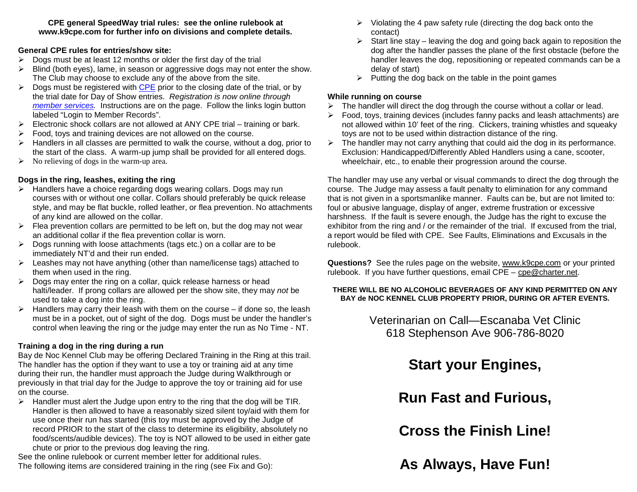**CPE general SpeedWay trial rules: see the online rulebook at www.k9cpe.com for further info on divisions and complete details.**

## **General CPE rules for entries/show site:**

- $\triangleright$  Dogs must be at least 12 months or older the first day of the trial
- $\triangleright$  Blind (both eyes), lame, in season or aggressive dogs may not enter the show. The Club may choose to exclude any of the above from the site.
- $\triangleright$  Dogs must be registered with [CPE](http://www.k9cpe.com/) prior to the closing date of the trial, or by the trial date for Day of Show entries. *Registration is now online through [member services.](https://www.k9cpe.com/memberservices)* Instructions are on the page. Follow the links login button labeled "Login to Member Records".
- $\triangleright$  Electronic shock collars are not allowed at ANY CPE trial training or bark.
- $\triangleright$  Food, toys and training devices are not allowed on the course.
- $\triangleright$  Handlers in all classes are permitted to walk the course, without a dog, prior to the start of the class. A warm-up jump shall be provided for all entered dogs.
- $\triangleright$  No relieving of dogs in the warm-up area.

## **Dogs in the ring, leashes, exiting the ring**

- $\triangleright$  Handlers have a choice regarding dogs wearing collars. Dogs may run courses with or without one collar. Collars should preferably be quick release style, and may be flat buckle, rolled leather, or flea prevention. No attachments of any kind are allowed on the collar.
- $\triangleright$  Flea prevention collars are permitted to be left on, but the dog may not wear an additional collar if the flea prevention collar is worn.
- $\triangleright$  Dogs running with loose attachments (tags etc.) on a collar are to be immediately NT'd and their run ended.
- $\triangleright$  Leashes may not have anything (other than name/license tags) attached to them when used in the ring.
- $\triangleright$  Dogs may enter the ring on a collar, quick release harness or head halti/leader. If prong collars are allowed per the show site, they may *not* be used to take a dog into the ring.
- $\triangleright$  Handlers may carry their leash with them on the course if done so, the leash must be in a pocket, out of sight of the dog. Dogs must be under the handler's control when leaving the ring or the judge may enter the run as No Time - NT.

## **Training a dog in the ring during a run**

Bay de Noc Kennel Club may be offering Declared Training in the Ring at this trail. The handler has the option if they want to use a toy or training aid at any time during their run, the handler must approach the Judge during Walkthrough or previously in that trial day for the Judge to approve the toy or training aid for use on the course.

 $\triangleright$  Handler must alert the Judge upon entry to the ring that the dog will be TIR. Handler is then allowed to have a reasonably sized silent toy/aid with them for use once their run has started (this toy must be approved by the Judge of record PRIOR to the start of the class to determine its eligibility, absolutely no food/scents/audible devices). The toy is NOT allowed to be used in either gate chute or prior to the previous dog leaving the ring.

See the online rulebook or current member letter for additional rules. The following items *are* considered training in the ring (see Fix and Go):

- $\triangleright$  Violating the 4 paw safety rule (directing the dog back onto the contact)
- $\triangleright$  Start line stay leaving the dog and going back again to reposition the dog after the handler passes the plane of the first obstacle (before the handler leaves the dog, repositioning or repeated commands can be a delay of start)
- $\triangleright$  Putting the dog back on the table in the point games

## **While running on course**

- $\triangleright$  The handler will direct the dog through the course without a collar or lead.
- $\triangleright$  Food, toys, training devices (includes fanny packs and leash attachments) are not allowed within 10' feet of the ring. Clickers, training whistles and squeaky toys are not to be used within distraction distance of the ring.
- $\triangleright$  The handler may not carry anything that could aid the dog in its performance. Exclusion: Handicapped/Differently Abled Handlers using a cane, scooter, wheelchair, etc., to enable their progression around the course.

The handler may use any verbal or visual commands to direct the dog through the course. The Judge may assess a fault penalty to elimination for any command that is not given in a sportsmanlike manner. Faults can be, but are not limited to: foul or abusive language, display of anger, extreme frustration or excessive harshness. If the fault is severe enough, the Judge has the right to excuse the exhibitor from the ring and / or the remainder of the trial. If excused from the trial, a report would be filed with CPE. See Faults, Eliminations and Excusals in the rulebook.

**Questions?** See the rules page on the website, [www.k9cpe.com](http://www.k9cpe.com/) or your printed rulebook. If you have further questions, email CPE – [cpe@charter.net.](mailto:cpe@charter.net)

## **THERE WILL BE NO ALCOHOLIC BEVERAGES OF ANY KIND PERMITTED ON ANY BAY de NOC KENNEL CLUB PROPERTY PRIOR, DURING OR AFTER EVENTS.**

Veterinarian on Call—Escanaba Vet Clinic 618 Stephenson Ave 906-786-8020

# **Start your Engines,**

**Run Fast and Furious,** 

**Cross the Finish Line!**

**As Always, Have Fun!**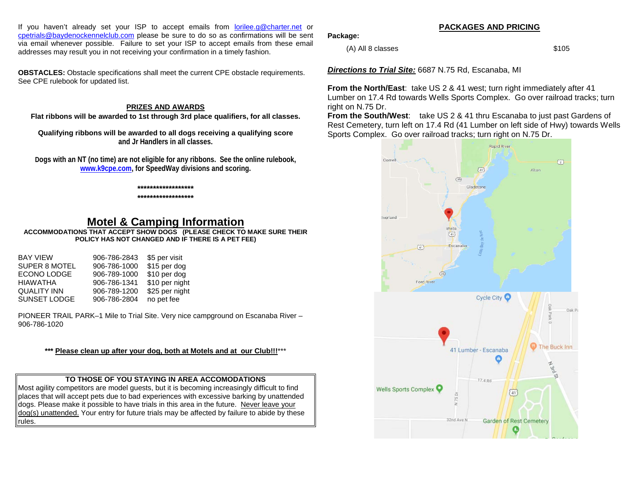If you haven't already set your ISP to accept emails from [lorilee.g@charter.net](mailto:lorilee.g@charter.net) or [cpetrials@baydenockennelclub.com](mailto:cpetrials@baydenockennelclub.com) please be sure to do so as confirmations will be sent via email whenever possible. Failure to set your ISP to accept emails from these email addresses may result you in not receiving your confirmation in a timely fashion.

**OBSTACLES:** Obstacle specifications shall meet the current CPE obstacle requirements. See CPE rulebook for updated list.

## **PRIZES AND AWARDS**

**Flat ribbons will be awarded to 1st through 3rd place qualifiers, for all classes.**

**Qualifying ribbons will be awarded to all dogs receiving a qualifying score and Jr Handlers in all classes.** 

**Dogs with an NT (no time) are not eligible for any ribbons. See the online rulebook, [www.k9cpe.com,](http://www.k9cpe.com/) for SpeedWay divisions and scoring.**

#### **\*\*\*\*\*\*\*\*\*\*\*\*\*\*\*\*\*\***

#### **\*\*\*\*\*\*\*\*\*\*\*\*\*\*\*\*\*\***

## **Motel & Camping Information**

**ACCOMMODATIONS THAT ACCEPT SHOW DOGS (PLEASE CHECK TO MAKE SURE THEIR POLICY HAS NOT CHANGED AND IF THERE IS A PET FEE)** 

| <b>BAY VIEW</b>      | 906-786-2843 | \$5 per visit  |
|----------------------|--------------|----------------|
| <b>SUPER 8 MOTEL</b> | 906-786-1000 | \$15 per dog   |
| ECONO LODGE          | 906-789-1000 | \$10 per dog   |
| HIAWATHA             | 906-786-1341 | \$10 per night |
| QUALITY INN          | 906-789-1200 | \$25 per night |
| <b>SUNSET LODGE</b>  | 906-786-2804 | no pet fee     |

PIONEER TRAIL PARK–1 Mile to Trial Site. Very nice campground on Escanaba River – 906-786-1020

## **\*\*\* Please clean up after your dog, both at Motels and at our Club!!!**\*\*\*

## **TO THOSE OF YOU STAYING IN AREA ACCOMODATIONS**

Most agility competitors are model guests, but it is becoming increasingly difficult to find places that will accept pets due to bad experiences with excessive barking by unattended dogs. Please make it possible to have trials in this area in the future. Never leave your dog(s) unattended. Your entry for future trials may be affected by failure to abide by these rules.

## **Package:**

 $(A)$  All 8 classes  $$105$ 

*Directions to Trial Site:* 6687 N.75 Rd, Escanaba, MI

**From the North/East**: take US 2 & 41 west; turn right immediately after 41 Lumber on 17.4 Rd towards Wells Sports Complex. Go over railroad tracks; turn right on N.75 Dr.

**From the South/West**: take US 2 & 41 thru Escanaba to just past Gardens of Rest Cemetery, turn left on 17.4 Rd (41 Lumber on left side of Hwy) towards Wells Sports Complex. Go over railroad tracks; turn right on N.75 Dr.



#### **PACKAGES AND PRICING**